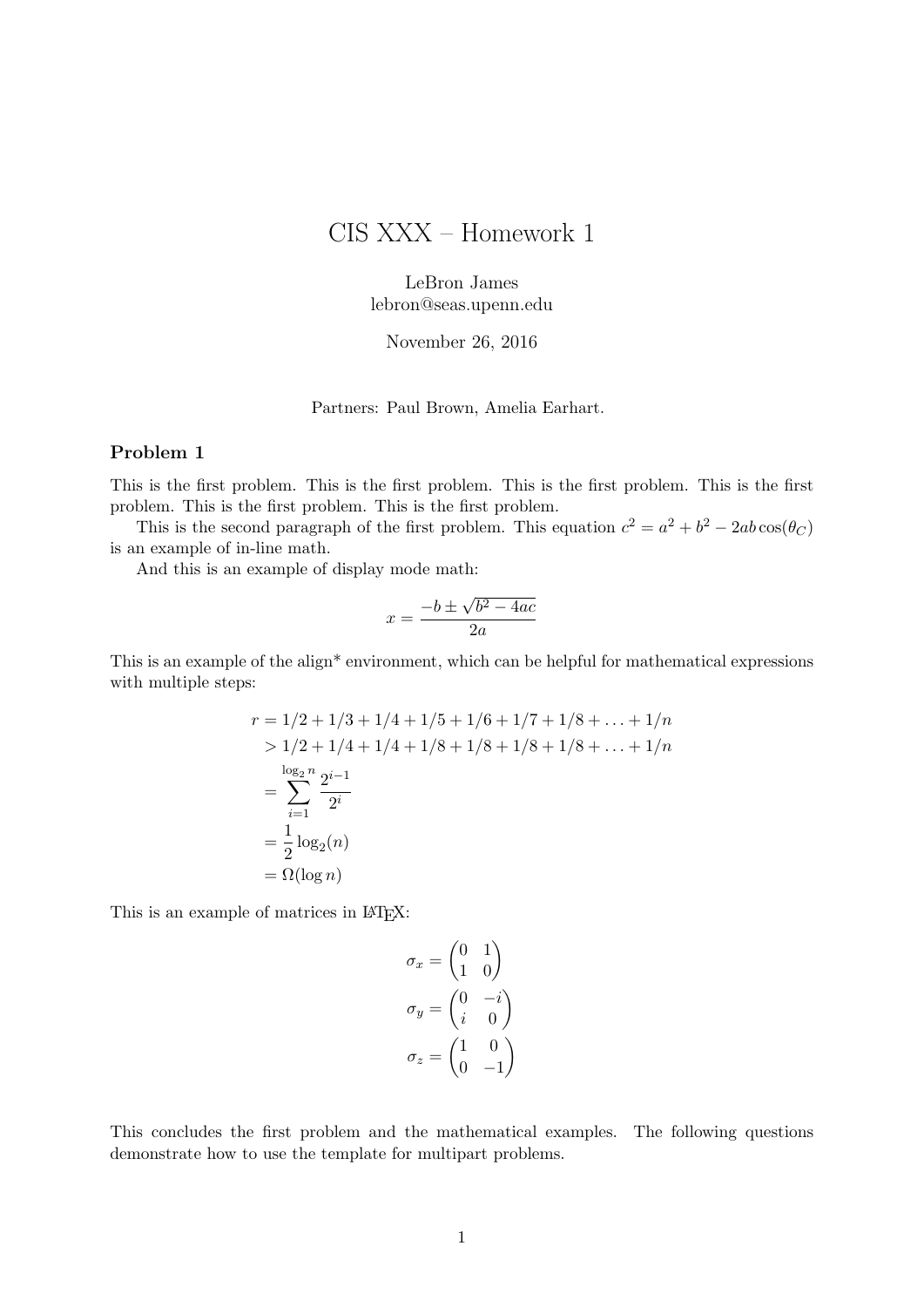# CIS XXX – Homework 1

LeBron James lebron@seas.upenn.edu

November 26, 2016

Partners: Paul Brown, Amelia Earhart.

#### Problem 1

This is the first problem. This is the first problem. This is the first problem. This is the first problem. This is the first problem. This is the first problem.

This is the second paragraph of the first problem. This equation  $c^2 = a^2 + b^2 - 2ab \cos(\theta_C)$ is an example of in-line math.

And this is an example of display mode math:

$$
x = \frac{-b \pm \sqrt{b^2 - 4ac}}{2a}
$$

This is an example of the align<sup>\*</sup> environment, which can be helpful for mathematical expressions with multiple steps:

$$
r = 1/2 + 1/3 + 1/4 + 1/5 + 1/6 + 1/7 + 1/8 + \dots + 1/n
$$
  
> 1/2 + 1/4 + 1/4 + 1/8 + 1/8 + 1/8 + 1/8 + \dots + 1/n  

$$
= \sum_{i=1}^{\log_2 n} \frac{2^{i-1}}{2^i}
$$
  
= 
$$
\frac{1}{2} \log_2(n)
$$
  
= 
$$
\Omega(\log n)
$$

This is an example of matrices in LAT<sub>EX</sub>:

$$
\sigma_x = \begin{pmatrix} 0 & 1 \\ 1 & 0 \end{pmatrix}
$$

$$
\sigma_y = \begin{pmatrix} 0 & -i \\ i & 0 \end{pmatrix}
$$

$$
\sigma_z = \begin{pmatrix} 1 & 0 \\ 0 & -1 \end{pmatrix}
$$

This concludes the first problem and the mathematical examples. The following questions demonstrate how to use the template for multipart problems.